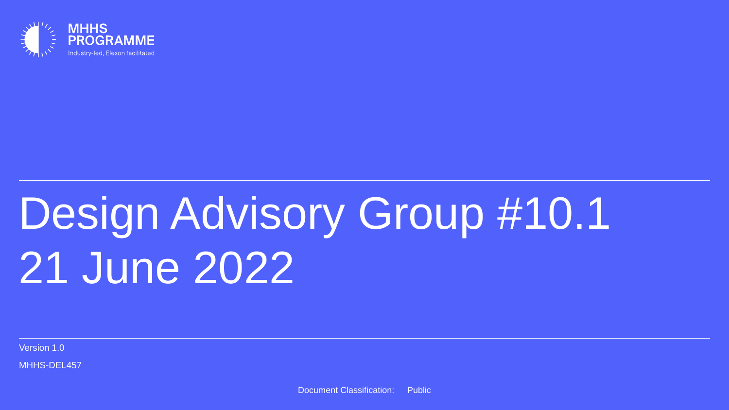

# Design Advisory Group #10.1 21 June 2022

Version 1.0

MHHS-DEL457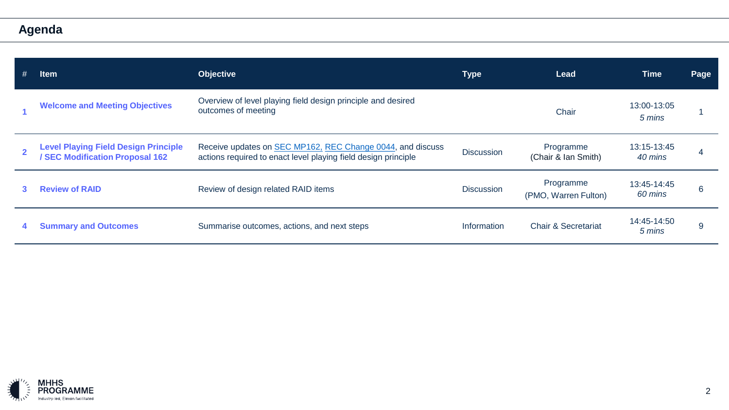**Agenda**

| <b>Item</b>                                                                    | <b>Objective</b>                                                                                                             | <b>Type</b>       | <b>Lead</b>                       | Time                   | Page |
|--------------------------------------------------------------------------------|------------------------------------------------------------------------------------------------------------------------------|-------------------|-----------------------------------|------------------------|------|
| <b>Welcome and Meeting Objectives</b>                                          | Overview of level playing field design principle and desired<br>outcomes of meeting                                          |                   | Chair                             | 13:00-13:05<br>5 mins  |      |
| <b>Level Playing Field Design Principle</b><br>/ SEC Modification Proposal 162 | Receive updates on SEC MP162, REC Change 0044, and discuss<br>actions required to enact level playing field design principle | <b>Discussion</b> | Programme<br>(Chair & Ian Smith)  | 13:15-13:45<br>40 mins |      |
| <b>Review of RAID</b>                                                          | Review of design related RAID items                                                                                          | <b>Discussion</b> | Programme<br>(PMO, Warren Fulton) | 13:45-14:45<br>60 mins | 6    |
| <b>Summary and Outcomes</b>                                                    | Summarise outcomes, actions, and next steps                                                                                  | Information       | <b>Chair &amp; Secretariat</b>    | 14:45-14:50<br>5 mins  | 9    |

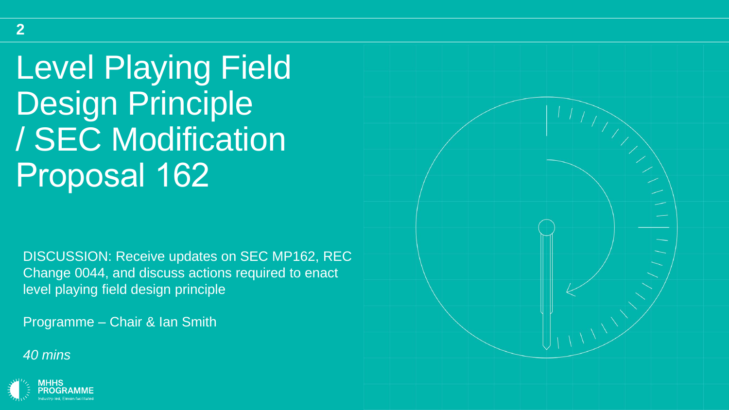Level Playing Field Design Principle / SEC Modification Proposal 162

DISCUSSION: Receive updates on SEC MP162, REC Change 0044, and discuss actions required to enact level playing field design principle

Programme – Chair & Ian Smith

*40 mins*



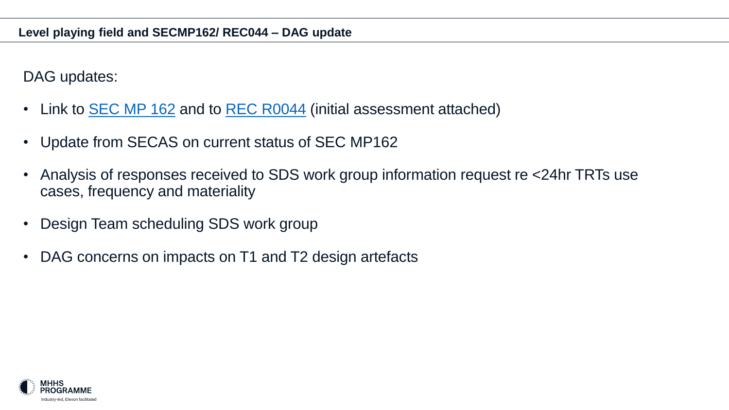DAG updates:

- Link to **[SEC MP 162](https://smartenergycodecompany.co.uk/modifications/sec-changes-required-to-deliver-mhhs/)** and to **[REC R0044](https://recportal.co.uk/group/guest/-/mhhs-programme-changes-required-to-central-switching-service)** (initial assessment attached)
- Update from SECAS on current status of SEC MP162
- Analysis of responses received to SDS work group information request re <24hr TRTs use cases, frequency and materiality
- Design Team scheduling SDS work group
- DAG concerns on impacts on T1 and T2 design artefacts

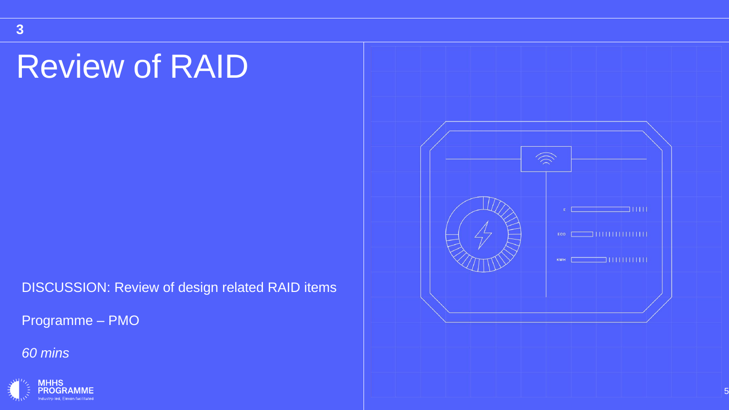# Review of RAID

DISCUSSION: Review of design related RAID items

Programme – PMO

*60 mins*



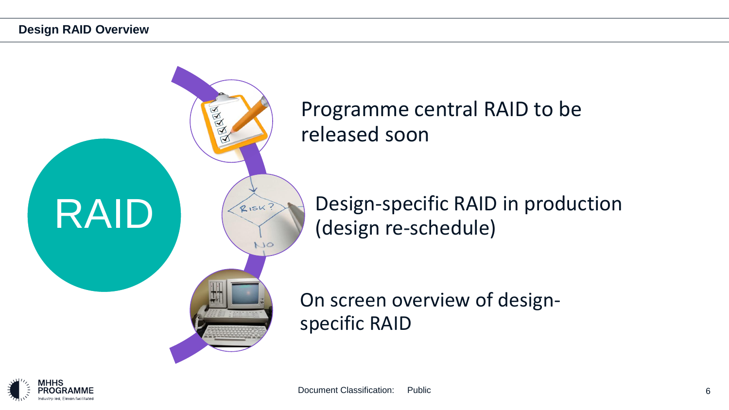

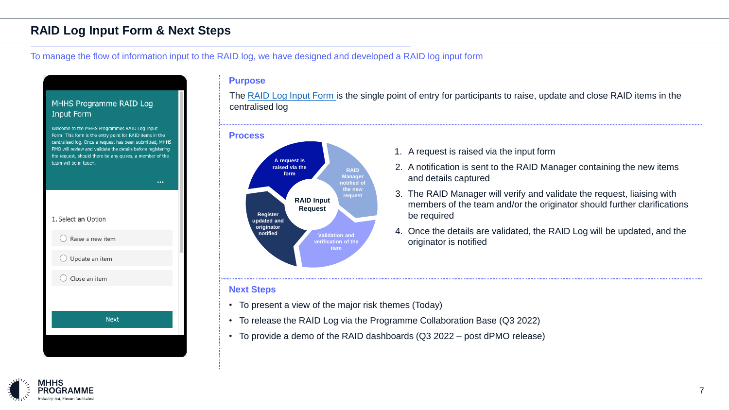### **RAID Log Input Form & Next Steps**

#### To manage the flow of information input to the RAID log, we have designed and developed a RAID log input form

#### **Purpose**

The [RAID Log Input Form i](https://forms.office.com/r/ZQLFh8RVgU)s the single point of entry for participants to raise, update and close RAID items in the centralised log





- 1. A request is raised via the input form
- 2. A notification is sent to the RAID Manager containing the new items and details captured
- 3. The RAID Manager will verify and validate the request, liaising with members of the team and/or the originator should further clarifications be required
- 4. Once the details are validated, the RAID Log will be updated, and the originator is notified

#### **Next Steps**

- To present a view of the major risk themes (Today)
- To release the RAID Log via the Programme Collaboration Base (Q3 2022)
- To provide a demo of the RAID dashboards (Q3 2022 post dPMO release)

### MHHS Programme RAID Log **Input Form**

Welcome to the MHHS Programmes RAID Log Input Form! This form is the entry point for RAID items in the centralised log. Once a request has been submitted, MHHS PMO will review and validate the details before registering the request, should there be any quires, a member of the team will be in touch.



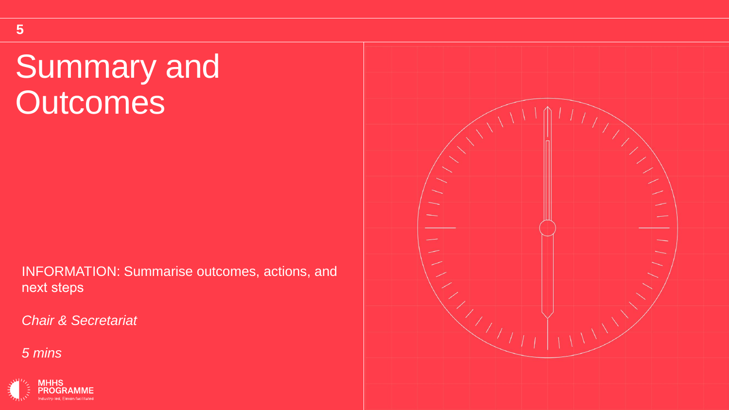# Summary and **Outcomes**

INFORMATION: Summarise outcomes, actions, and next steps

*Chair & Secretariat*

*5 mins*